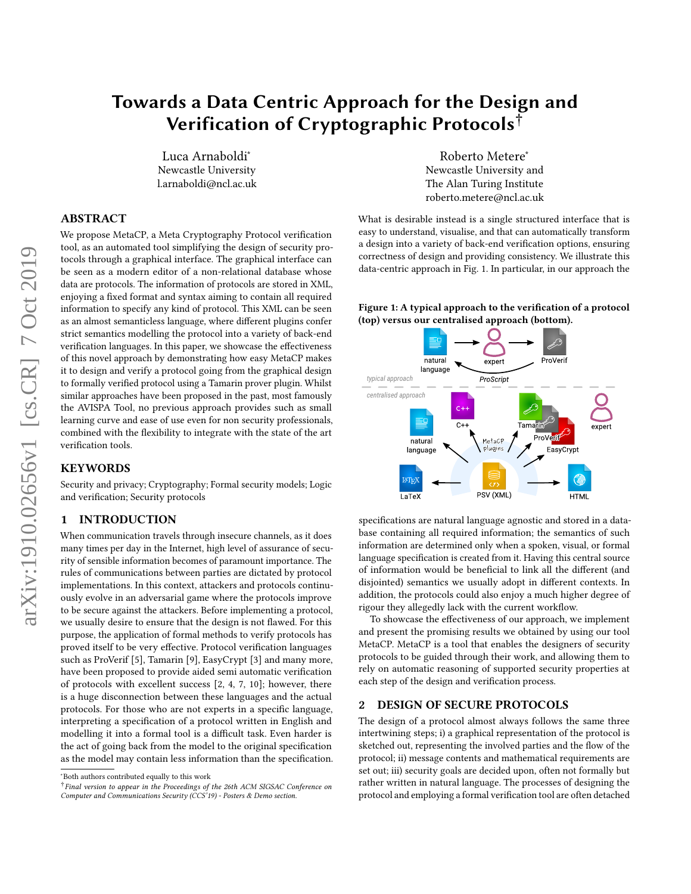# Towards a Data Centric Approach for the Design and Verification of Cryptographic Protocols†

Luca Arnaboldi<sup>∗</sup> Newcastle University l.arnaboldi@ncl.ac.uk

# ABSTRACT

We propose MetaCP, a Meta Cryptography Protocol verification tool, as an automated tool simplifying the design of security protocols through a graphical interface. The graphical interface can be seen as a modern editor of a non-relational database whose data are protocols. The information of protocols are stored in XML, enjoying a fixed format and syntax aiming to contain all required information to specify any kind of protocol. This XML can be seen as an almost semanticless language, where different plugins confer strict semantics modelling the protocol into a variety of back-end verification languages. In this paper, we showcase the effectiveness of this novel approach by demonstrating how easy MetaCP makes it to design and verify a protocol going from the graphical design to formally verified protocol using a Tamarin prover plugin. Whilst similar approaches have been proposed in the past, most famously the AVISPA Tool, no previous approach provides such as small learning curve and ease of use even for non security professionals, combined with the flexibility to integrate with the state of the art verification tools.

### **KEYWORDS**

Security and privacy; Cryptography; Formal security models; Logic and verification; Security protocols

## 1 INTRODUCTION

When communication travels through insecure channels, as it does many times per day in the Internet, high level of assurance of security of sensible information becomes of paramount importance. The rules of communications between parties are dictated by protocol implementations. In this context, attackers and protocols continuously evolve in an adversarial game where the protocols improve to be secure against the attackers. Before implementing a protocol, we usually desire to ensure that the design is not flawed. For this purpose, the application of formal methods to verify protocols has proved itself to be very effective. Protocol verification languages such as ProVerif [\[5\]](#page-2-0), Tamarin [\[9\]](#page-2-1), EasyCrypt [\[3\]](#page-2-2) and many more, have been proposed to provide aided semi automatic verification of protocols with excellent success [\[2,](#page-2-3) [4,](#page-2-4) [7,](#page-2-5) [10\]](#page-2-6); however, there is a huge disconnection between these languages and the actual protocols. For those who are not experts in a specific language, interpreting a specification of a protocol written in English and modelling it into a formal tool is a difficult task. Even harder is the act of going back from the model to the original specification as the model may contain less information than the specification.

Roberto Metere<sup>∗</sup> Newcastle University and The Alan Turing Institute roberto.metere@ncl.ac.uk

What is desirable instead is a single structured interface that is easy to understand, visualise, and that can automatically transform a design into a variety of back-end verification options, ensuring correctness of design and providing consistency. We illustrate this data-centric approach in Fig. [1.](#page-0-0) In particular, in our approach the

#### <span id="page-0-0"></span>Figure 1: A typical approach to the verification of a protocol (top) versus our centralised approach (bottom).



specifications are natural language agnostic and stored in a database containing all required information; the semantics of such information are determined only when a spoken, visual, or formal language specification is created from it. Having this central source of information would be beneficial to link all the different (and disjointed) semantics we usually adopt in different contexts. In addition, the protocols could also enjoy a much higher degree of rigour they allegedly lack with the current workflow.

To showcase the effectiveness of our approach, we implement and present the promising results we obtained by using our tool MetaCP. MetaCP is a tool that enables the designers of security protocols to be guided through their work, and allowing them to rely on automatic reasoning of supported security properties at each step of the design and verification process.

## 2 DESIGN OF SECURE PROTOCOLS

The design of a protocol almost always follows the same three intertwining steps; i) a graphical representation of the protocol is sketched out, representing the involved parties and the flow of the protocol; ii) message contents and mathematical requirements are set out; iii) security goals are decided upon, often not formally but rather written in natural language. The processes of designing the protocol and employing a formal verification tool are often detached

<sup>∗</sup>Both authors contributed equally to this work

<sup>†</sup> Final version to appear in the Proceedings of the 26th ACM SIGSAC Conference on Computer and Communications Security (CCS'19) - Posters & Demo section.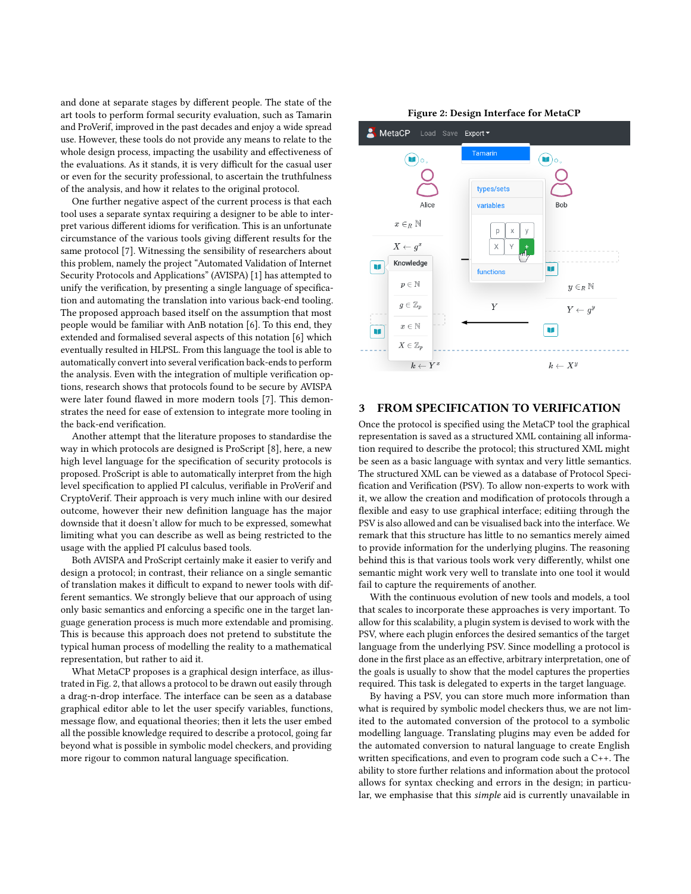and done at separate stages by different people. The state of the art tools to perform formal security evaluation, such as Tamarin and ProVerif, improved in the past decades and enjoy a wide spread use. However, these tools do not provide any means to relate to the whole design process, impacting the usability and effectiveness of the evaluations. As it stands, it is very difficult for the casual user or even for the security professional, to ascertain the truthfulness of the analysis, and how it relates to the original protocol.

One further negative aspect of the current process is that each tool uses a separate syntax requiring a designer to be able to interpret various different idioms for verification. This is an unfortunate circumstance of the various tools giving different results for the same protocol [\[7\]](#page-2-5). Witnessing the sensibility of researchers about this problem, namely the project "Automated Validation of Internet Security Protocols and Applications" (AVISPA) [\[1\]](#page-2-7) has attempted to unify the verification, by presenting a single language of specification and automating the translation into various back-end tooling. The proposed approach based itself on the assumption that most people would be familiar with AnB notation [\[6\]](#page-2-8). To this end, they extended and formalised several aspects of this notation [\[6\]](#page-2-8) which eventually resulted in HLPSL. From this language the tool is able to automatically convert into several verification back-ends to perform the analysis. Even with the integration of multiple verification options, research shows that protocols found to be secure by AVISPA were later found flawed in more modern tools [\[7\]](#page-2-5). This demonstrates the need for ease of extension to integrate more tooling in the back-end verification.

Another attempt that the literature proposes to standardise the way in which protocols are designed is ProScript [\[8\]](#page-2-9), here, a new high level language for the specification of security protocols is proposed. ProScript is able to automatically interpret from the high level specification to applied PI calculus, verifiable in ProVerif and CryptoVerif. Their approach is very much inline with our desired outcome, however their new definition language has the major downside that it doesn't allow for much to be expressed, somewhat limiting what you can describe as well as being restricted to the usage with the applied PI calculus based tools.

Both AVISPA and ProScript certainly make it easier to verify and design a protocol; in contrast, their reliance on a single semantic of translation makes it difficult to expand to newer tools with different semantics. We strongly believe that our approach of using only basic semantics and enforcing a specific one in the target language generation process is much more extendable and promising. This is because this approach does not pretend to substitute the typical human process of modelling the reality to a mathematical representation, but rather to aid it.

What MetaCP proposes is a graphical design interface, as illustrated in Fig. [2,](#page-1-0) that allows a protocol to be drawn out easily through a drag-n-drop interface. The interface can be seen as a database graphical editor able to let the user specify variables, functions, message flow, and equational theories; then it lets the user embed all the possible knowledge required to describe a protocol, going far beyond what is possible in symbolic model checkers, and providing more rigour to common natural language specification.



<span id="page-1-0"></span>

### FROM SPECIFICATION TO VERIFICATION

Once the protocol is specified using the MetaCP tool the graphical representation is saved as a structured XML containing all information required to describe the protocol; this structured XML might be seen as a basic language with syntax and very little semantics. The structured XML can be viewed as a database of Protocol Specification and Verification (PSV). To allow non-experts to work with it, we allow the creation and modification of protocols through a flexible and easy to use graphical interface; editiing through the PSV is also allowed and can be visualised back into the interface. We remark that this structure has little to no semantics merely aimed to provide information for the underlying plugins. The reasoning behind this is that various tools work very differently, whilst one semantic might work very well to translate into one tool it would fail to capture the requirements of another.

With the continuous evolution of new tools and models, a tool that scales to incorporate these approaches is very important. To allow for this scalability, a plugin system is devised to work with the PSV, where each plugin enforces the desired semantics of the target language from the underlying PSV. Since modelling a protocol is done in the first place as an effective, arbitrary interpretation, one of the goals is usually to show that the model captures the properties required. This task is delegated to experts in the target language.

By having a PSV, you can store much more information than what is required by symbolic model checkers thus, we are not limited to the automated conversion of the protocol to a symbolic modelling language. Translating plugins may even be added for the automated conversion to natural language to create English written specifications, and even to program code such a C++. The ability to store further relations and information about the protocol allows for syntax checking and errors in the design; in particular, we emphasise that this simple aid is currently unavailable in